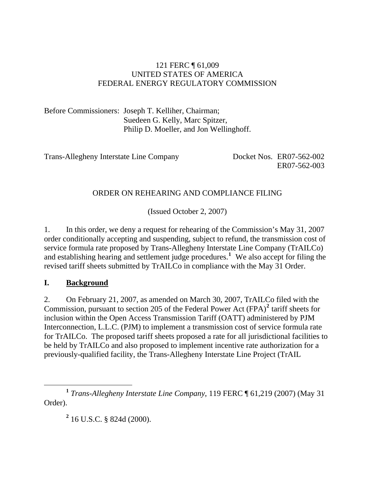#### 121 FERC ¶ 61,009 UNITED STATES OF AMERICA FEDERAL ENERGY REGULATORY COMMISSION

Before Commissioners: Joseph T. Kelliher, Chairman; Suedeen G. Kelly, Marc Spitzer, Philip D. Moeller, and Jon Wellinghoff.

Trans-Allegheny Interstate Line Company Docket Nos. ER07-562-002

ER07-562-003

# ORDER ON REHEARING AND COMPLIANCE FILING

(Issued October 2, 2007)

1. In this order, we deny a request for rehearing of the Commission's May 31, 2007 order conditionally accepting and suspending, subject to refund, the transmission cost of service formula rate proposed by Trans-Allegheny Interstate Line Company (TrAILCo) and establishing hearing and settlement judge procedures.**[1](#page-0-0)** We also accept for filing the revised tariff sheets submitted by TrAILCo in compliance with the May 31 Order.

#### **I. Background**

2. On February 21, 2007, as amended on March 30, 2007, TrAILCo filed with the Commission, pursuant to section [2](#page-0-1)05 of the Federal Power Act (FPA)<sup>2</sup> tariff sheets for inclusion within the Open Access Transmission Tariff (OATT) administered by PJM Interconnection, L.L.C. (PJM) to implement a transmission cost of service formula rate for TrAILCo. The proposed tariff sheets proposed a rate for all jurisdictional facilities to be held by TrAILCo and also proposed to implement incentive rate authorization for a previously-qualified facility, the Trans-Allegheny Interstate Line Project (TrAIL

**2** 16 U.S.C. § 824d (2000).

<span id="page-0-1"></span><span id="page-0-0"></span>**<sup>1</sup>** *Trans-Allegheny Interstate Line Company*, 119 FERC ¶ 61,219 (2007) (May 31 Order).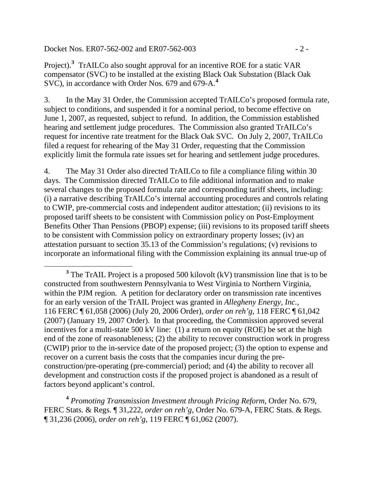Docket Nos. ER07-562-002 and ER07-562-003 - 2 -

Project).<sup>[3](#page-1-0)</sup> TrAILCo also sought approval for an incentive ROE for a static VAR compensator (SVC) to be installed at the existing Black Oak Substation (Black Oak SVC), in accordance with Order Nos. 679 and 679-A.**[4](#page-1-1)**

3. In the May 31 Order, the Commission accepted TrAILCo's proposed formula rate, subject to conditions, and suspended it for a nominal period, to become effective on June 1, 2007, as requested, subject to refund. In addition, the Commission established hearing and settlement judge procedures. The Commission also granted TrAILCo's request for incentive rate treatment for the Black Oak SVC. On July 2, 2007, TrAILCo filed a request for rehearing of the May 31 Order, requesting that the Commission explicitly limit the formula rate issues set for hearing and settlement judge procedures.

4. The May 31 Order also directed TrAILCo to file a compliance filing within 30 days. The Commission directed TrAILCo to file additional information and to make several changes to the proposed formula rate and corresponding tariff sheets, including: (i) a narrative describing TrAILCo's internal accounting procedures and controls relating to CWIP, pre-commercial costs and independent auditor attestation; (ii) revisions to its proposed tariff sheets to be consistent with Commission policy on Post-Employment Benefits Other Than Pensions (PBOP) expense; (iii) revisions to its proposed tariff sheets to be consistent with Commission policy on extraordinary property losses; (iv) an attestation pursuant to section 35.13 of the Commission's regulations; (v) revisions to incorporate an informational filing with the Commission explaining its annual true-up of

<span id="page-1-1"></span>**<sup>4</sup>** *Promoting Transmission Investment through Pricing Reform*, Order No. 679, FERC Stats. & Regs. ¶ 31,222, *order on reh'g*, Order No. 679-A, FERC Stats. & Regs. ¶ 31,236 (2006), *order on reh'g*, 119 FERC ¶ 61,062 (2007).

<span id="page-1-0"></span><sup>&</sup>lt;sup>3</sup> The TrAIL Project is a proposed 500 kilovolt (kV) transmission line that is to be constructed from southwestern Pennsylvania to West Virginia to Northern Virginia, within the PJM region. A petition for declaratory order on transmission rate incentives for an early version of the TrAIL Project was granted in *Allegheny Energy, Inc.*, 116 FERC ¶ 61,058 (2006) (July 20, 2006 Order), *order on reh'g*, 118 FERC ¶ 61,042 (2007) (January 19, 2007 Order). In that proceeding, the Commission approved several incentives for a multi-state 500 kV line: (1) a return on equity (ROE) be set at the high end of the zone of reasonableness; (2) the ability to recover construction work in progress (CWIP) prior to the in-service date of the proposed project; (3) the option to expense and recover on a current basis the costs that the companies incur during the preconstruction/pre-operating (pre-commercial) period; and (4) the ability to recover all development and construction costs if the proposed project is abandoned as a result of factors beyond applicant's control.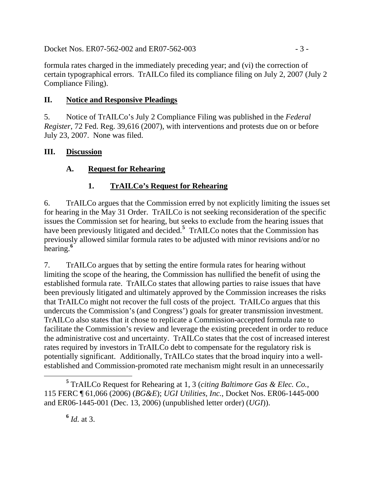Docket Nos. ER07-562-002 and ER07-562-003 - 3 -

formula rates charged in the immediately preceding year; and (vi) the correction of certain typographical errors. TrAILCo filed its compliance filing on July 2, 2007 (July 2 Compliance Filing).

### **II. Notice and Responsive Pleadings**

5. Notice of TrAILCo's July 2 Compliance Filing was published in the *Federal Register*, 72 Fed. Reg. 39,616 (2007), with interventions and protests due on or before July 23, 2007. None was filed.

#### **III. Discussion**

# **A. Request for Rehearing**

# **1. TrAILCo's Request for Rehearing**

6. TrAILCo argues that the Commission erred by not explicitly limiting the issues set for hearing in the May 31 Order. TrAILCo is not seeking reconsideration of the specific issues the Commission set for hearing, but seeks to exclude from the hearing issues that have been previously litigated and decided.**[5](#page-2-0)** TrAILCo notes that the Commission has previously allowed similar formula rates to be adjusted with minor revisions and/or no hearing.**[6](#page-2-1)**

7. TrAILCo argues that by setting the entire formula rates for hearing without limiting the scope of the hearing, the Commission has nullified the benefit of using the established formula rate. TrAILCo states that allowing parties to raise issues that have been previously litigated and ultimately approved by the Commission increases the risks that TrAILCo might not recover the full costs of the project. TrAILCo argues that this undercuts the Commission's (and Congress') goals for greater transmission investment. TrAILCo also states that it chose to replicate a Commission-accepted formula rate to facilitate the Commission's review and leverage the existing precedent in order to reduce the administrative cost and uncertainty. TrAILCo states that the cost of increased interest rates required by investors in TrAILCo debt to compensate for the regulatory risk is potentially significant. Additionally, TrAILCo states that the broad inquiry into a wellestablished and Commission-promoted rate mechanism might result in an unnecessarily

<span id="page-2-1"></span><span id="page-2-0"></span>**<sup>5</sup>** TrAILCo Request for Rehearing at 1, 3 (*citing Baltimore Gas & Elec. Co.*, 115 FERC ¶ 61,066 (2006) (*BG&E*); *UGI Utilities, Inc.*, Docket Nos. ER06-1445-000 and ER06-1445-001 (Dec. 13, 2006) (unpublished letter order) (*UGI*)).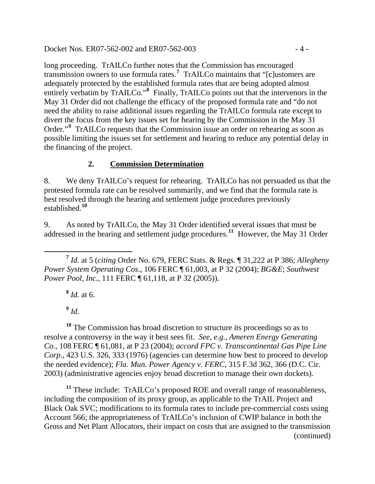Docket Nos. ER07-562-002 and ER07-562-003 - 4 -

long proceeding. TrAILCo further notes that the Commission has encouraged transmission owners to use formula rates.**[7](#page-3-0)** TrAILCo maintains that "[c]ustomers are adequately protected by the established formula rates that are being adopted almost entirely verbatim by TrAILCo."<sup>[8](#page-3-1)</sup> Finally, TrAILCo points out that the intervenors in the May 31 Order did not challenge the efficacy of the proposed formula rate and "do not need the ability to raise additional issues regarding the TrAILCo formula rate except to divert the focus from the key issues set for hearing by the Commission in the May 31 Order."<sup>[9](#page-3-2)</sup> TrAILCo requests that the Commission issue an order on rehearing as soon as possible limiting the issues set for settlement and hearing to reduce any potential delay in the financing of the project.

#### **2. Commission Determination**

8. We deny TrAILCo's request for rehearing. TrAILCo has not persuaded us that the protested formula rate can be resolved summarily, and we find that the formula rate is best resolved through the hearing and settlement judge procedures previously established.**[10](#page-3-3)**

9. As noted by TrAILCo, the May 31 Order identified several issues that must be addressed in the hearing and settlement judge procedures.**[11](#page-3-4)** However, the May 31 Order

<span id="page-3-0"></span> **<sup>7</sup>** *Id.* at 5 (*citing* Order No. 679, FERC Stats. & Regs. ¶ 31,222 at P 386; *Allegheny Power System Operating Cos*., 106 FERC ¶ 61,003, at P 32 (2004); *BG&E*; *Southwest Power Pool, Inc., 111 FERC* 161, 118, at P 32 (2005)).

**<sup>8</sup>** *Id.* at 6.

**<sup>9</sup>** *Id.*

<span id="page-3-3"></span><span id="page-3-2"></span><span id="page-3-1"></span>**<sup>10</sup>** The Commission has broad discretion to structure its proceedings so as to resolve a controversy in the way it best sees fit. *See, e.g.*, *Ameren Energy Generating Co.*, 108 FERC ¶ 61,081, at P 23 (2004); *accord FPC v. Transcontinental Gas Pipe Line Corp.*, 423 U.S. 326, 333 (1976) (agencies can determine how best to proceed to develop the needed evidence); *Fla. Mun. Power Agency v. FERC*, 315 F.3d 362, 366 (D.C. Cir. 2003) (administrative agencies enjoy broad discretion to manage their own dockets).

<span id="page-3-4"></span>(continued) **<sup>11</sup>** These include: TrAILCo's proposed ROE and overall range of reasonableness, including the composition of its proxy group, as applicable to the TrAIL Project and Black Oak SVC; modifications to its formula rates to include pre-commercial costs using Account 566; the appropriateness of TrAILCo's inclusion of CWIP balance in both the Gross and Net Plant Allocators, their impact on costs that are assigned to the transmission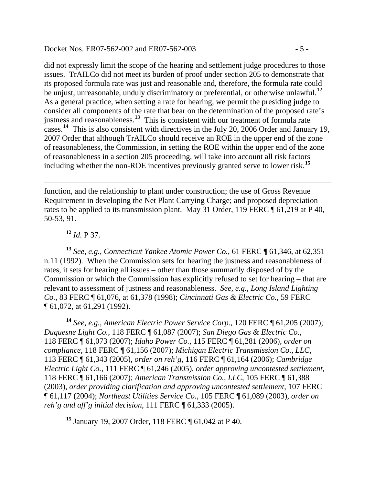#### Docket Nos. ER07-562-002 and ER07-562-003 - 5 -

did not expressly limit the scope of the hearing and settlement judge procedures to those issues. TrAILCo did not meet its burden of proof under section 205 to demonstrate that its proposed formula rate was just and reasonable and, therefore, the formula rate could be unjust, unreasonable, unduly discriminatory or preferential, or otherwise unlawful.**[12](#page-4-0)** As a general practice, when setting a rate for hearing, we permit the presiding judge to consider all components of the rate that bear on the determination of the proposed rate's justness and reasonableness.**[13](#page-4-1)** This is consistent with our treatment of formula rate cases.<sup>[14](#page-4-2)</sup> This is also consistent with directives in the July 20, 2006 Order and January 19, 2007 Order that although TrAILCo should receive an ROE in the upper end of the zone of reasonableness, the Commission, in setting the ROE within the upper end of the zone of reasonableness in a section 205 proceeding, will take into account all risk factors including whether the non-ROE incentives previously granted serve to lower risk.**[15](#page-4-3)**

function, and the relationship to plant under construction; the use of Gross Revenue Requirement in developing the Net Plant Carrying Charge; and proposed depreciation rates to be applied to its transmission plant. May 31 Order, 119 FERC ¶ 61,219 at P 40, 50-53, 91.

**<sup>12</sup>** *Id*. P 37.

<span id="page-4-1"></span><span id="page-4-0"></span>**<sup>13</sup>** *See, e.g.*, *Connecticut Yankee Atomic Power Co.*, 61 FERC ¶ 61,346, at 62,351 n.11 (1992). When the Commission sets for hearing the justness and reasonableness of rates, it sets for hearing all issues – other than those summarily disposed of by the Commission or which the Commission has explicitly refused to set for hearing – that are relevant to assessment of justness and reasonableness. *See, e.g.*, *[Long Island Lighting](http://www.lexis.com/research/buttonTFLink?_m=49c0de309075f0ddf668efcb14074e20&_xfercite=%3ccite%20cc%3d%22USA%22%3e%3c%21%5bCDATA%5b85%20F.E.R.C.%20P61%2c180%5d%5d%3e%3c%2fcite%3e&_butType=3&_butStat=2&_butNum=12&_butInline=1&_butinfo=%3ccite%20cc%3d%22USA%22%3e%3c%21%5bCDATA%5b83%20F.E.R.C.%2061076%2cat%2061378%5d%5d%3e%3c%2fcite%3e&_fmtstr=FULL&docnum=16&_startdoc=1&wchp=dGLbVtz-zSkAz&_md5=dae75d01f79e8a03a4fc9789f540f64e)  Co.*[, 83 FERC ¶ 61,076, at 61,378 \(1998\);](http://www.lexis.com/research/buttonTFLink?_m=49c0de309075f0ddf668efcb14074e20&_xfercite=%3ccite%20cc%3d%22USA%22%3e%3c%21%5bCDATA%5b85%20F.E.R.C.%20P61%2c180%5d%5d%3e%3c%2fcite%3e&_butType=3&_butStat=2&_butNum=12&_butInline=1&_butinfo=%3ccite%20cc%3d%22USA%22%3e%3c%21%5bCDATA%5b83%20F.E.R.C.%2061076%2cat%2061378%5d%5d%3e%3c%2fcite%3e&_fmtstr=FULL&docnum=16&_startdoc=1&wchp=dGLbVtz-zSkAz&_md5=dae75d01f79e8a03a4fc9789f540f64e) *[Cincinnati Gas & Electric Co.](http://www.lexis.com/research/buttonTFLink?_m=49c0de309075f0ddf668efcb14074e20&_xfercite=%3ccite%20cc%3d%22USA%22%3e%3c%21%5bCDATA%5b85%20F.E.R.C.%20P61%2c180%5d%5d%3e%3c%2fcite%3e&_butType=3&_butStat=2&_butNum=13&_butInline=1&_butinfo=%3ccite%20cc%3d%22USA%22%3e%3c%21%5bCDATA%5b59%20F.E.R.C.%2061072%2cat%2061291%5d%5d%3e%3c%2fcite%3e&_fmtstr=FULL&docnum=16&_startdoc=1&wchp=dGLbVtz-zSkAz&_md5=86affe1df369f4c61272e8b8fd46626c)*, 59 FERC [¶ 61,072, at 61,291 \(1992\).](http://www.lexis.com/research/buttonTFLink?_m=49c0de309075f0ddf668efcb14074e20&_xfercite=%3ccite%20cc%3d%22USA%22%3e%3c%21%5bCDATA%5b85%20F.E.R.C.%20P61%2c180%5d%5d%3e%3c%2fcite%3e&_butType=3&_butStat=2&_butNum=13&_butInline=1&_butinfo=%3ccite%20cc%3d%22USA%22%3e%3c%21%5bCDATA%5b59%20F.E.R.C.%2061072%2cat%2061291%5d%5d%3e%3c%2fcite%3e&_fmtstr=FULL&docnum=16&_startdoc=1&wchp=dGLbVtz-zSkAz&_md5=86affe1df369f4c61272e8b8fd46626c)

<span id="page-4-2"></span>**<sup>14</sup>** *See, e.g.*, *American Electric Power Service Corp.*, 120 FERC ¶ 61,205 (2007); *Duquesne Light Co.*, 118 FERC ¶ 61,087 (2007); *San Diego Gas & Electric Co.*, 118 FERC ¶ 61,073 (2007); *Idaho Power Co.*, 115 FERC ¶ 61,281 (2006), *order on compliance*, 118 FERC ¶ 61,156 (2007); *Michigan Electric Transmission Co., LLC*, 113 FERC ¶ 61,343 (2005), *order on reh'g*, 116 FERC ¶ 61,164 (2006); *Cambridge Electric Light Co.*, 111 FERC ¶ 61,246 (2005), *order approving uncontested settlement*, 118 FERC ¶ 61,166 (2007); *American Transmission Co., LLC*, 105 FERC ¶ 61,388 (2003), *order providing clarification and approving uncontested settlement*, 107 FERC ¶ 61,117 (2004); *Northeast Utilities Service Co.*, 105 FERC ¶ 61,089 (2003), *order on reh'g and aff'g initial decision*, 111 FERC ¶ 61,333 (2005).

<span id="page-4-3"></span>**<sup>15</sup>** January 19, 2007 Order, 118 FERC ¶ 61,042 at P 40.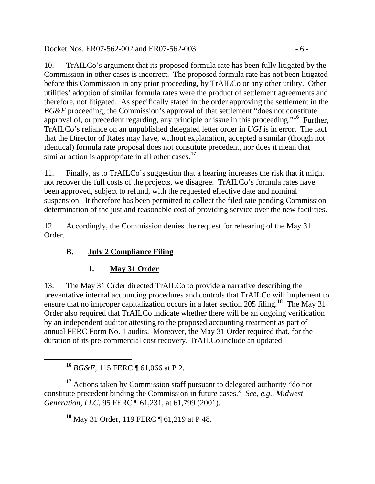Docket Nos. ER07-562-002 and ER07-562-003 - 6 -

10. TrAILCo's argument that its proposed formula rate has been fully litigated by the Commission in other cases is incorrect. The proposed formula rate has not been litigated before this Commission in any prior proceeding, by TrAILCo or any other utility. Other utilities' adoption of similar formula rates were the product of settlement agreements and therefore, not litigated. As specifically stated in the order approving the settlement in the *BG&E* proceeding, the Commission's approval of that settlement "does not constitute" approval of, or precedent regarding, any principle or issue in this proceeding."**[16](#page-5-0)** Further, TrAILCo's reliance on an unpublished delegated letter order in *UGI* is in error. The fact that the Director of Rates may have, without explanation, accepted a similar (though not identical) formula rate proposal does not constitute precedent, nor does it mean that similar action is appropriate in all other cases.**[17](#page-5-1)**

11. Finally, as to TrAILCo's suggestion that a hearing increases the risk that it might not recover the full costs of the projects, we disagree. TrAILCo's formula rates have been approved, subject to refund, with the requested effective date and nominal suspension. It therefore has been permitted to collect the filed rate pending Commission determination of the just and reasonable cost of providing service over the new facilities.

12. Accordingly, the Commission denies the request for rehearing of the May 31 Order.

# **B. July 2 Compliance Filing**

# **1. May 31 Order**

13. The May 31 Order directed TrAILCo to provide a narrative describing the preventative internal accounting procedures and controls that TrAILCo will implement to ensure that no improper capitalization occurs in a later section 205 filing.**[18](#page-5-2)** The May 31 Order also required that TrAILCo indicate whether there will be an ongoing verification by an independent auditor attesting to the proposed accounting treatment as part of annual FERC Form No. 1 audits. Moreover, the May 31 Order required that, for the duration of its pre-commercial cost recovery, TrAILCo include an updated

**<sup>18</sup>** May 31 Order, 119 FERC ¶ 61,219 at P 48.

**<sup>16</sup>** *BG&E*, 115 FERC ¶ 61,066 at P 2.

<span id="page-5-2"></span><span id="page-5-1"></span><span id="page-5-0"></span><sup>&</sup>lt;sup>17</sup> Actions taken by Commission staff pursuant to delegated authority "do not constitute precedent binding the Commission in future cases." *See, e.g.*, *Midwest Generation, LLC*, 95 FERC ¶ 61,231, at 61,799 (2001).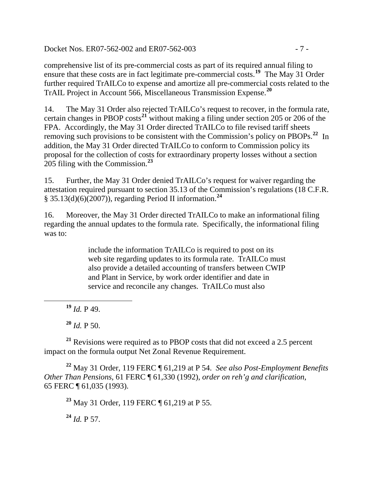Docket Nos. ER07-562-002 and ER07-562-003 - 7 -

comprehensive list of its pre-commercial costs as part of its required annual filing to ensure that these costs are in fact legitimate pre-commercial costs.**[19](#page-6-0)** The May 31 Order further required TrAILCo to expense and amortize all pre-commercial costs related to the TrAIL Project in Account 566, Miscellaneous Transmission Expense.**[20](#page-6-1)**

14. The May 31 Order also rejected TrAILCo's request to recover, in the formula rate, certain changes in PBOP costs**[21](#page-6-2)** without making a filing under section 205 or 206 of the FPA. Accordingly, the May 31 Order directed TrAILCo to file revised tariff sheets removing such provisions to be consistent with the Commission's policy on PBOPs.**[22](#page-6-3)** In addition, the May 31 Order directed TrAILCo to conform to Commission policy its proposal for the collection of costs for extraordinary property losses without a section 205 filing with the Commission.**[23](#page-6-4)**

15. Further, the May 31 Order denied TrAILCo's request for waiver regarding the attestation required pursuant to section 35.13 of the Commission's regulations (18 C.F.R. § 35.13(d)(6)(2007)), regarding Period II information.**[24](#page-6-5)**

16. Moreover, the May 31 Order directed TrAILCo to make an informational filing regarding the annual updates to the formula rate. Specifically, the informational filing was to:

> include the information TrAILCo is required to post on its web site regarding updates to its formula rate. TrAILCo must also provide a detailed accounting of transfers between CWIP and Plant in Service, by work order identifier and date in service and reconcile any changes. TrAILCo must also

**<sup>19</sup>** *Id.* P 49.

<span id="page-6-0"></span>

**<sup>20</sup>** *Id.* P 50.

<span id="page-6-2"></span><span id="page-6-1"></span>**<sup>21</sup>** Revisions were required as to PBOP costs that did not exceed a 2.5 percent impact on the formula output Net Zonal Revenue Requirement.

<span id="page-6-4"></span><span id="page-6-3"></span>**<sup>22</sup>** May 31 Order, 119 FERC ¶ 61,219 at P 54. *See also Post-Employment Benefits Other Than Pensions*, 61 FERC ¶ 61,330 (1992), *order on reh'g and clarification*, 65 FERC ¶ 61,035 (1993).

**<sup>23</sup>** May 31 Order, 119 FERC ¶ 61,219 at P 55.

<span id="page-6-5"></span>**<sup>24</sup>** *Id.* P 57.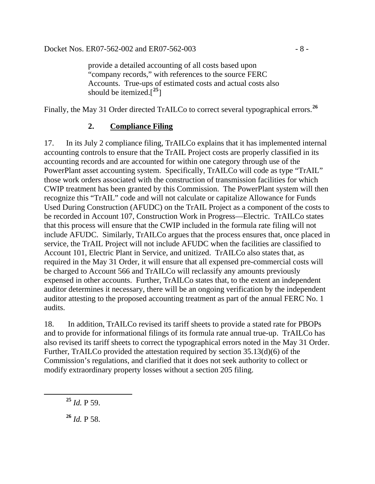provide a detailed accounting of all costs based upon "company records," with references to the source FERC Accounts. True-ups of estimated costs and actual costs also should be itemized.[**[25](#page-7-0)**]

Finally, the May 31 Order directed TrAILCo to correct several typographical errors.**[26](#page-7-1)**

#### **2. Compliance Filing**

17. In its July 2 compliance filing, TrAILCo explains that it has implemented internal accounting controls to ensure that the TrAIL Project costs are properly classified in its accounting records and are accounted for within one category through use of the PowerPlant asset accounting system. Specifically, TrAILCo will code as type "TrAIL" those work orders associated with the construction of transmission facilities for which CWIP treatment has been granted by this Commission. The PowerPlant system will then recognize this "TrAIL" code and will not calculate or capitalize Allowance for Funds Used During Construction (AFUDC) on the TrAIL Project as a component of the costs to be recorded in Account 107, Construction Work in Progress—Electric. TrAILCo states that this process will ensure that the CWIP included in the formula rate filing will not include AFUDC. Similarly, TrAILCo argues that the process ensures that, once placed in service, the TrAIL Project will not include AFUDC when the facilities are classified to Account 101, Electric Plant in Service, and unitized. TrAILCo also states that, as required in the May 31 Order, it will ensure that all expensed pre-commercial costs will be charged to Account 566 and TrAILCo will reclassify any amounts previously expensed in other accounts. Further, TrAILCo states that, to the extent an independent auditor determines it necessary, there will be an ongoing verification by the independent auditor attesting to the proposed accounting treatment as part of the annual FERC No. 1 audits.

18. In addition, TrAILCo revised its tariff sheets to provide a stated rate for PBOPs and to provide for informational filings of its formula rate annual true-up. TrAILCo has also revised its tariff sheets to correct the typographical errors noted in the May 31 Order. Further, TrAILCo provided the attestation required by section 35.13(d)(6) of the Commission's regulations, and clarified that it does not seek authority to collect or modify extraordinary property losses without a section 205 filing.

<span id="page-7-0"></span>**<sup>25</sup>** *Id.* P 59.

<span id="page-7-1"></span>**<sup>26</sup>** *Id.* P 58.